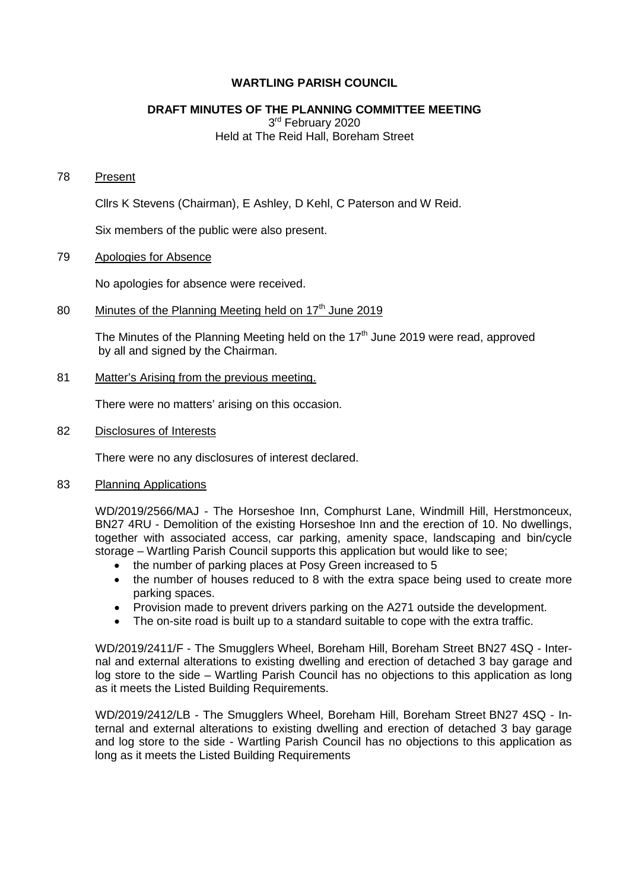# **WARTLING PARISH COUNCIL**

## **DRAFT MINUTES OF THE PLANNING COMMITTEE MEETING**

3<sup>rd</sup> February 2020

Held at The Reid Hall, Boreham Street

#### 78 Present

Cllrs K Stevens (Chairman), E Ashley, D Kehl, C Paterson and W Reid.

Six members of the public were also present.

#### 79 Apologies for Absence

No apologies for absence were received.

## 80 Minutes of the Planning Meeting held on  $17<sup>th</sup>$  June 2019

The Minutes of the Planning Meeting held on the  $17<sup>th</sup>$  June 2019 were read, approved by all and signed by the Chairman.

## 81 Matter's Arising from the previous meeting.

There were no matters' arising on this occasion.

82 Disclosures of Interests

There were no any disclosures of interest declared.

#### 83 Planning Applications

WD/2019/2566/MAJ - The Horseshoe Inn, Comphurst Lane, Windmill Hill, Herstmonceux, BN27 4RU - Demolition of the existing Horseshoe Inn and the erection of 10. No dwellings, together with associated access, car parking, amenity space, landscaping and bin/cycle storage – Wartling Parish Council supports this application but would like to see;

- the number of parking places at Posy Green increased to 5
- the number of houses reduced to 8 with the extra space being used to create more parking spaces.
- Provision made to prevent drivers parking on the A271 outside the development.
- The on-site road is built up to a standard suitable to cope with the extra traffic.

WD/2019/2411/F - The Smugglers Wheel, Boreham Hill, Boreham Street BN27 4SQ - Internal and external alterations to existing dwelling and erection of detached 3 bay garage and log store to the side – Wartling Parish Council has no objections to this application as long as it meets the Listed Building Requirements.

WD/2019/2412/LB - The Smugglers Wheel, Boreham Hill, Boreham Street BN27 4SQ - Internal and external alterations to existing dwelling and erection of detached 3 bay garage and log store to the side - Wartling Parish Council has no objections to this application as long as it meets the Listed Building Requirements